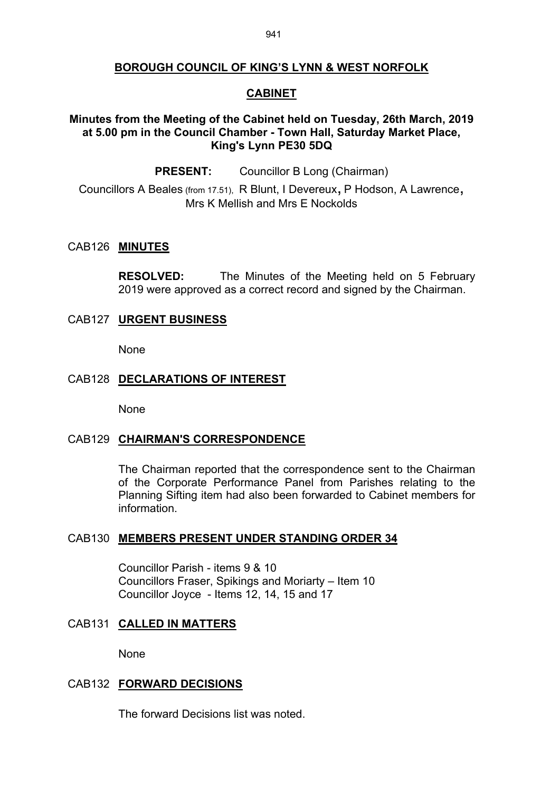# **BOROUGH COUNCIL OF KING'S LYNN & WEST NORFOLK**

### **CABINET**

## **Minutes from the Meeting of the Cabinet held on Tuesday, 26th March, 2019 at 5.00 pm in the Council Chamber - Town Hall, Saturday Market Place, King's Lynn PE30 5DQ**

**PRESENT:** Councillor B Long (Chairman)

Councillors <sup>A</sup> Beales (from 17.51), <sup>R</sup> Blunt, <sup>I</sup> Devereux, <sup>P</sup> Hodson, <sup>A</sup> Lawrence, Mrs K Mellish and Mrs E Nockolds

#### CAB126 **MINUTES**

**RESOLVED:** The Minutes of the Meeting held on 5 February 2019 were approved as a correct record and signed by the Chairman.

## CAB127 **URGENT BUSINESS**

None

### CAB128 **DECLARATIONS OF INTEREST**

None

#### CAB129 **CHAIRMAN'S CORRESPONDENCE**

The Chairman reported that the correspondence sent to the Chairman of the Corporate Performance Panel from Parishes relating to the Planning Sifting item had also been forwarded to Cabinet members for information.

#### CAB130 **MEMBERS PRESENT UNDER STANDING ORDER 34**

Councillor Parish - items 9 & 10 Councillors Fraser, Spikings and Moriarty – Item 10 Councillor Joyce - Items 12, 14, 15 and 17

## CAB131 **CALLED IN MATTERS**

None

#### CAB132 **FORWARD DECISIONS**

The forward Decisions list was noted.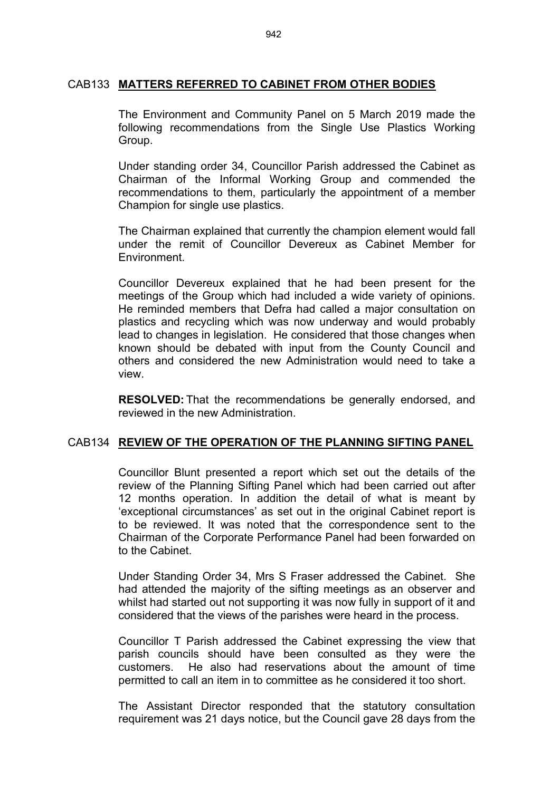### CAB133 **MATTERS REFERRED TO CABINET FROM OTHER BODIES**

The Environment and Community Panel on 5 March 2019 made the following recommendations from the Single Use Plastics Working Group.

Under standing order 34, Councillor Parish addressed the Cabinet as Chairman of the Informal Working Group and commended the recommendations to them, particularly the appointment of a member Champion for single use plastics.

The Chairman explained that currently the champion element would fall under the remit of Councillor Devereux as Cabinet Member for Environment.

Councillor Devereux explained that he had been present for the meetings of the Group which had included a wide variety of opinions. He reminded members that Defra had called a major consultation on plastics and recycling which was now underway and would probably lead to changes in legislation. He considered that those changes when known should be debated with input from the County Council and others and considered the new Administration would need to take a view.

**RESOLVED:** That the recommendations be generally endorsed, and reviewed in the new Administration.

### CAB134 **REVIEW OF THE OPERATION OF THE PLANNING SIFTING PANEL**

Councillor Blunt presented a report which set out the details of the review of the Planning Sifting Panel which had been carried out after 12 months operation. In addition the detail of what is meant by 'exceptional circumstances' as set out in the original Cabinet report is to be reviewed. It was noted that the correspondence sent to the Chairman of the Corporate Performance Panel had been forwarded on to the Cabinet.

Under Standing Order 34, Mrs S Fraser addressed the Cabinet. She had attended the majority of the sifting meetings as an observer and whilst had started out not supporting it was now fully in support of it and considered that the views of the parishes were heard in the process.

Councillor T Parish addressed the Cabinet expressing the view that parish councils should have been consulted as they were the customers. He also had reservations about the amount of time permitted to call an item in to committee as he considered it too short.

The Assistant Director responded that the statutory consultation requirement was 21 days notice, but the Council gave 28 days from the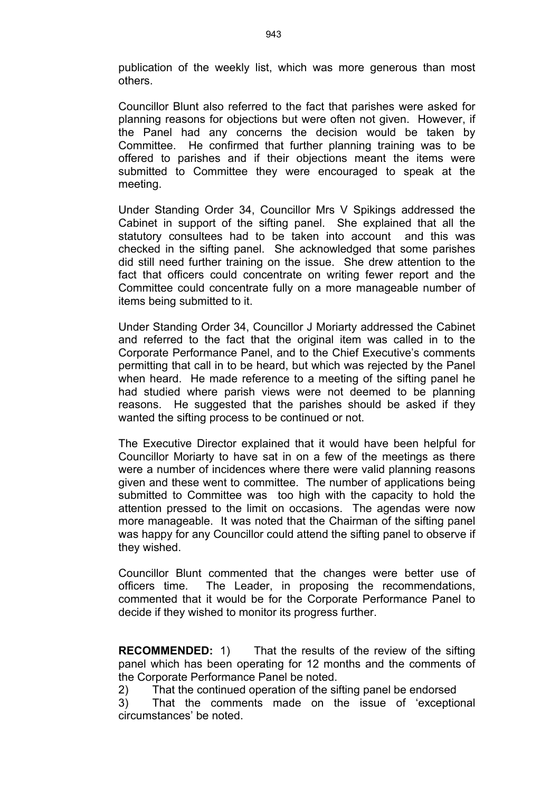publication of the weekly list, which was more generous than most others.

Councillor Blunt also referred to the fact that parishes were asked for planning reasons for objections but were often not given. However, if the Panel had any concerns the decision would be taken by Committee. He confirmed that further planning training was to be offered to parishes and if their objections meant the items were submitted to Committee they were encouraged to speak at the meeting.

Under Standing Order 34, Councillor Mrs V Spikings addressed the Cabinet in support of the sifting panel. She explained that all the statutory consultees had to be taken into account and this was checked in the sifting panel. She acknowledged that some parishes did still need further training on the issue. She drew attention to the fact that officers could concentrate on writing fewer report and the Committee could concentrate fully on a more manageable number of items being submitted to it.

Under Standing Order 34, Councillor J Moriarty addressed the Cabinet and referred to the fact that the original item was called in to the Corporate Performance Panel, and to the Chief Executive's comments permitting that call in to be heard, but which was rejected by the Panel when heard. He made reference to a meeting of the sifting panel he had studied where parish views were not deemed to be planning reasons. He suggested that the parishes should be asked if they wanted the sifting process to be continued or not.

The Executive Director explained that it would have been helpful for Councillor Moriarty to have sat in on a few of the meetings as there were a number of incidences where there were valid planning reasons given and these went to committee. The number of applications being submitted to Committee was too high with the capacity to hold the attention pressed to the limit on occasions. The agendas were now more manageable. It was noted that the Chairman of the sifting panel was happy for any Councillor could attend the sifting panel to observe if they wished.

Councillor Blunt commented that the changes were better use of officers time. The Leader, in proposing the recommendations, commented that it would be for the Corporate Performance Panel to decide if they wished to monitor its progress further.

**RECOMMENDED:** 1) That the results of the review of the sifting panel which has been operating for 12 months and the comments of the Corporate Performance Panel be noted.

2) That the continued operation of the sifting panel be endorsed

3) That the comments made on the issue of 'exceptional circumstances' be noted.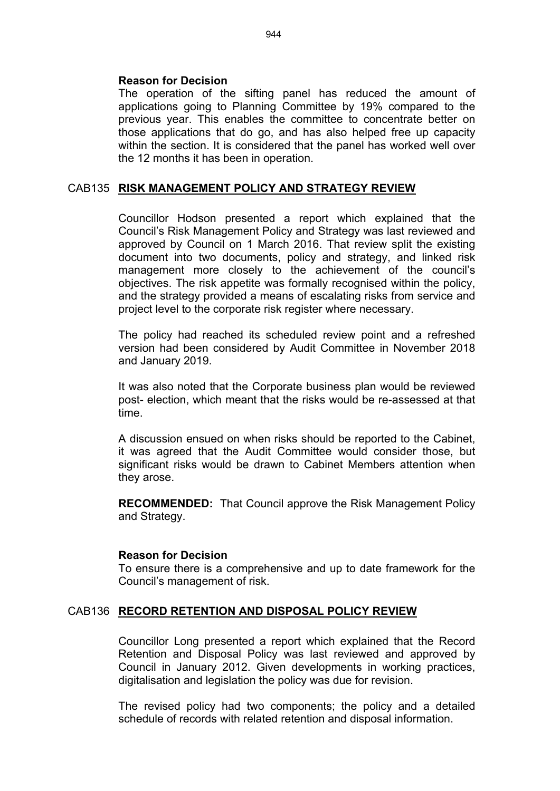### **Reason for Decision**

The operation of the sifting panel has reduced the amount of applications going to Planning Committee by 19% compared to the previous year. This enables the committee to concentrate better on those applications that do go, and has also helped free up capacity within the section. It is considered that the panel has worked well over the 12 months it has been in operation.

## CAB135 **RISK MANAGEMENT POLICY AND STRATEGY REVIEW**

Councillor Hodson presented a report which explained that the Council's Risk Management Policy and Strategy was last reviewed and approved by Council on 1 March 2016. That review split the existing document into two documents, policy and strategy, and linked risk management more closely to the achievement of the council's objectives. The risk appetite was formally recognised within the policy, and the strategy provided a means of escalating risks from service and project level to the corporate risk register where necessary.

The policy had reached its scheduled review point and a refreshed version had been considered by Audit Committee in November 2018 and January 2019.

It was also noted that the Corporate business plan would be reviewed post- election, which meant that the risks would be re-assessed at that time.

A discussion ensued on when risks should be reported to the Cabinet, it was agreed that the Audit Committee would consider those, but significant risks would be drawn to Cabinet Members attention when they arose.

**RECOMMENDED:** That Council approve the Risk Management Policy and Strategy.

### **Reason for Decision**

To ensure there is a comprehensive and up to date framework for the Council's management of risk.

### CAB136 **RECORD RETENTION AND DISPOSAL POLICY REVIEW**

Councillor Long presented a report which explained that the Record Retention and Disposal Policy was last reviewed and approved by Council in January 2012. Given developments in working practices, digitalisation and legislation the policy was due for revision.

The revised policy had two components; the policy and a detailed schedule of records with related retention and disposal information.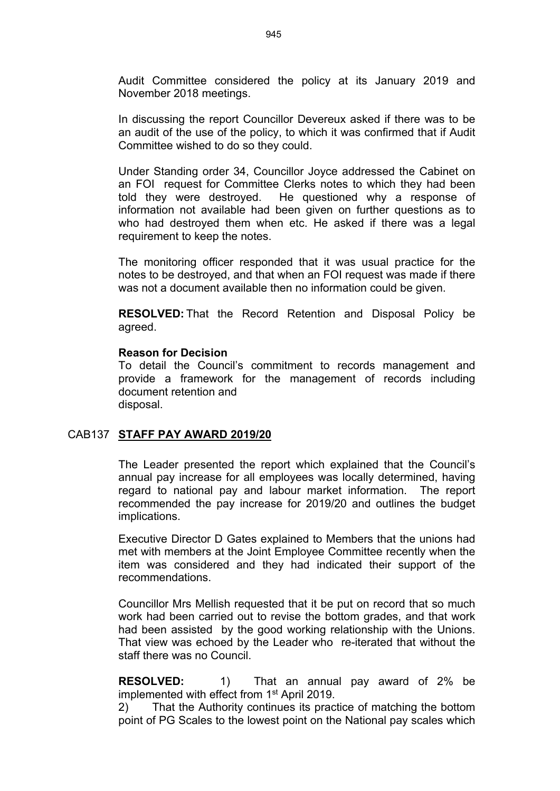Audit Committee considered the policy at its January 2019 and November 2018 meetings.

In discussing the report Councillor Devereux asked if there was to be an audit of the use of the policy, to which it was confirmed that if Audit Committee wished to do so they could.

Under Standing order 34, Councillor Joyce addressed the Cabinet on an FOI request for Committee Clerks notes to which they had been told they were destroyed. He questioned why a response of information not available had been given on further questions as to who had destroved them when etc. He asked if there was a legal requirement to keep the notes.

The monitoring officer responded that it was usual practice for the notes to be destroyed, and that when an FOI request was made if there was not a document available then no information could be given.

**RESOLVED:** That the Record Retention and Disposal Policy be agreed.

#### **Reason for Decision**

To detail the Council's commitment to records management and provide a framework for the management of records including document retention and disposal.

#### CAB137 **STAFF PAY AWARD 2019/20**

The Leader presented the report which explained that the Council's annual pay increase for all employees was locally determined, having regard to national pay and labour market information. The report recommended the pay increase for 2019/20 and outlines the budget implications.

Executive Director D Gates explained to Members that the unions had met with members at the Joint Employee Committee recently when the item was considered and they had indicated their support of the recommendations.

Councillor Mrs Mellish requested that it be put on record that so much work had been carried out to revise the bottom grades, and that work had been assisted by the good working relationship with the Unions. That view was echoed by the Leader who re-iterated that without the staff there was no Council.

**RESOLVED:** 1) That an annual pay award of 2% be implemented with effect from 1<sup>st</sup> April 2019.

2) That the Authority continues its practice of matching the bottom point of PG Scales to the lowest point on the National pay scales which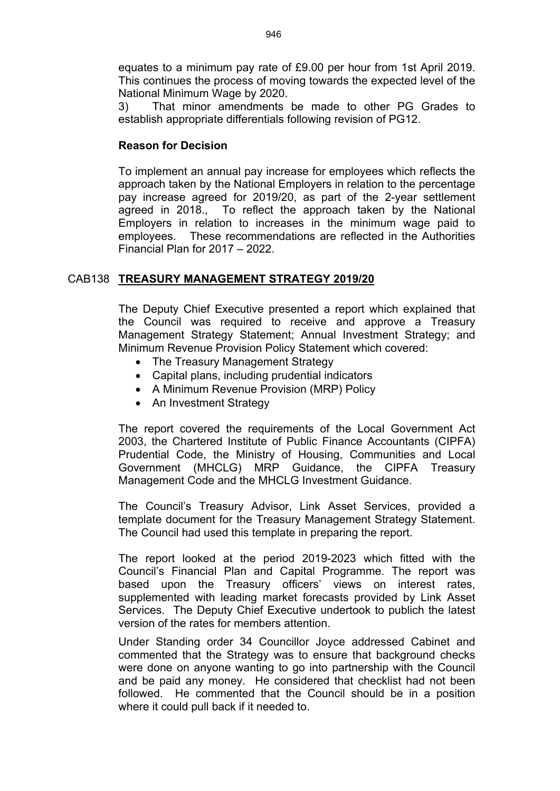equates to a minimum pay rate of £9.00 per hour from 1st April 2019. This continues the process of moving towards the expected level of the National Minimum Wage by 2020.

3) That minor amendments be made to other PG Grades to establish appropriate differentials following revision of PG12.

## **Reason for Decision**

To implement an annual pay increase for employees which reflects the approach taken by the National Employers in relation to the percentage pay increase agreed for 2019/20, as part of the 2-year settlement agreed in 2018., To reflect the approach taken by the National Employers in relation to increases in the minimum wage paid to employees. These recommendations are reflected in the Authorities Financial Plan for 2017 – 2022.

## CAB138 **TREASURY MANAGEMENT STRATEGY 2019/20**

The Deputy Chief Executive presented a report which explained that the Council was required to receive and approve a Treasury Management Strategy Statement; Annual Investment Strategy; and Minimum Revenue Provision Policy Statement which covered:

- The Treasury Management Strategy
- Capital plans, including prudential indicators
- A Minimum Revenue Provision (MRP) Policy
- An Investment Strategy

The report covered the requirements of the Local Government Act 2003, the Chartered Institute of Public Finance Accountants (CIPFA) Prudential Code, the Ministry of Housing, Communities and Local Government (MHCLG) MRP Guidance, the CIPFA Treasury Management Code and the MHCLG Investment Guidance.

The Council's Treasury Advisor, Link Asset Services, provided a template document for the Treasury Management Strategy Statement. The Council had used this template in preparing the report.

The report looked at the period 2019-2023 which fitted with the Council's Financial Plan and Capital Programme. The report was based upon the Treasury officers' views on interest rates, supplemented with leading market forecasts provided by Link Asset Services. The Deputy Chief Executive undertook to publich the latest version of the rates for members attention.

Under Standing order 34 Councillor Joyce addressed Cabinet and commented that the Strategy was to ensure that background checks were done on anyone wanting to go into partnership with the Council and be paid any money. He considered that checklist had not been followed. He commented that the Council should be in a position where it could pull back if it needed to.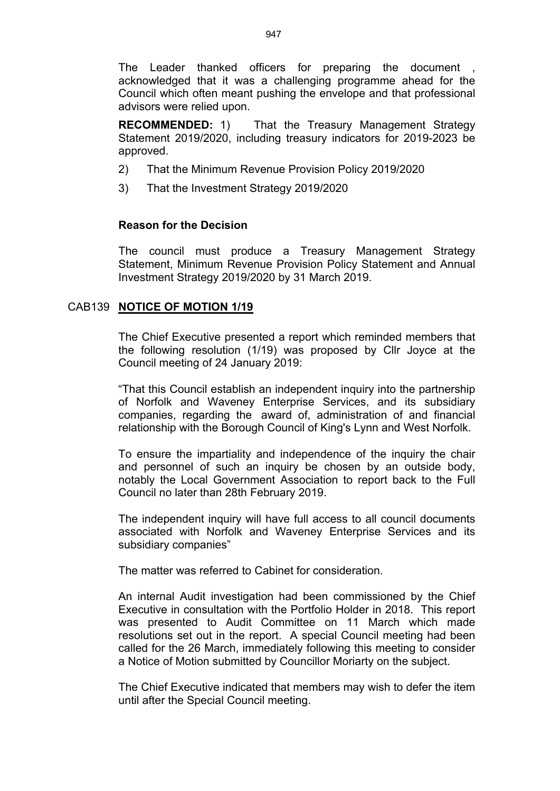The Leader thanked officers for preparing the document acknowledged that it was a challenging programme ahead for the Council which often meant pushing the envelope and that professional advisors were relied upon.

**RECOMMENDED:** 1) That the Treasury Management Strategy Statement 2019/2020, including treasury indicators for 2019-2023 be approved.

- 2) That the Minimum Revenue Provision Policy 2019/2020
- 3) That the Investment Strategy 2019/2020

## **Reason for the Decision**

The council must produce a Treasury Management Strategy Statement, Minimum Revenue Provision Policy Statement and Annual Investment Strategy 2019/2020 by 31 March 2019.

## CAB139 **NOTICE OF MOTION 1/19**

The Chief Executive presented a report which reminded members that the following resolution (1/19) was proposed by Cllr Joyce at the Council meeting of 24 January 2019:

"That this Council establish an independent inquiry into the partnership of Norfolk and Waveney Enterprise Services, and its subsidiary companies, regarding the award of, administration of and financial relationship with the Borough Council of King's Lynn and West Norfolk.

To ensure the impartiality and independence of the inquiry the chair and personnel of such an inquiry be chosen by an outside body, notably the Local Government Association to report back to the Full Council no later than 28th February 2019.

The independent inquiry will have full access to all council documents associated with Norfolk and Waveney Enterprise Services and its subsidiary companies"

The matter was referred to Cabinet for consideration.

An internal Audit investigation had been commissioned by the Chief Executive in consultation with the Portfolio Holder in 2018. This report was presented to Audit Committee on 11 March which made resolutions set out in the report. A special Council meeting had been called for the 26 March, immediately following this meeting to consider a Notice of Motion submitted by Councillor Moriarty on the subject.

The Chief Executive indicated that members may wish to defer the item until after the Special Council meeting.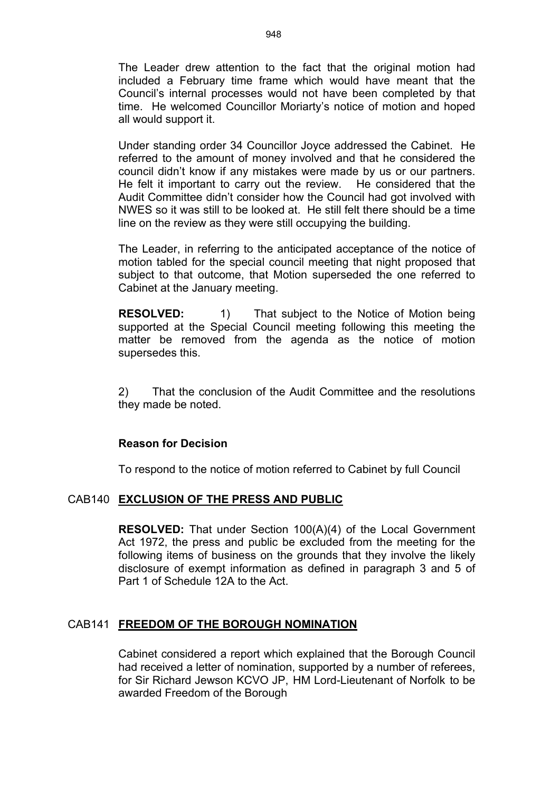The Leader drew attention to the fact that the original motion had included a February time frame which would have meant that the Council's internal processes would not have been completed by that time. He welcomed Councillor Moriarty's notice of motion and hoped all would support it.

Under standing order 34 Councillor Joyce addressed the Cabinet. He referred to the amount of money involved and that he considered the council didn't know if any mistakes were made by us or our partners. He felt it important to carry out the review. He considered that the Audit Committee didn't consider how the Council had got involved with NWES so it was still to be looked at. He still felt there should be a time line on the review as they were still occupying the building.

The Leader, in referring to the anticipated acceptance of the notice of motion tabled for the special council meeting that night proposed that subject to that outcome, that Motion superseded the one referred to Cabinet at the January meeting.

**RESOLVED:** 1) That subject to the Notice of Motion being supported at the Special Council meeting following this meeting the matter be removed from the agenda as the notice of motion supersedes this.

2) That the conclusion of the Audit Committee and the resolutions they made be noted.

### **Reason for Decision**

To respond to the notice of motion referred to Cabinet by full Council

## CAB140 **EXCLUSION OF THE PRESS AND PUBLIC**

**RESOLVED:** That under Section 100(A)(4) of the Local Government Act 1972, the press and public be excluded from the meeting for the following items of business on the grounds that they involve the likely disclosure of exempt information as defined in paragraph 3 and 5 of Part 1 of Schedule 12A to the Act.

### CAB141 **FREEDOM OF THE BOROUGH NOMINATION**

Cabinet considered a report which explained that the Borough Council had received a letter of nomination, supported by a number of referees, for Sir Richard Jewson KCVO JP, HM Lord-Lieutenant of Norfolk to be awarded Freedom of the Borough